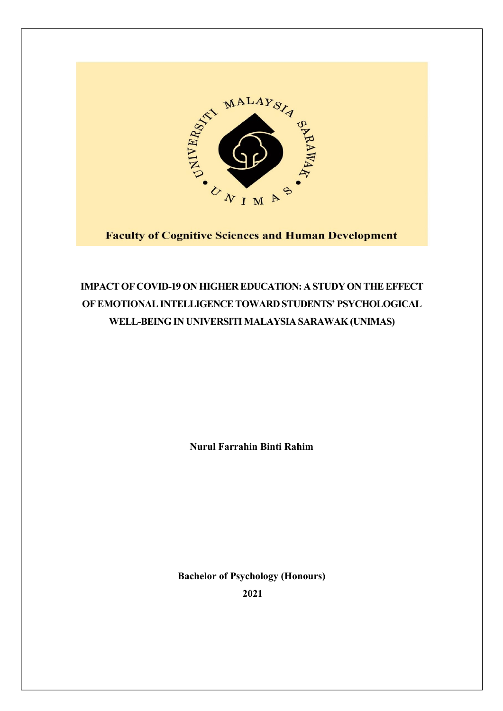

**Faculty of Cognitive Sciences and Human Development** 

# **IMPACTOF COVID-19ON HIGHER EDUCATION: A STUDYON THEEFFECT OFEMOTIONALINTELLIGENCETOWARD STUDENTS' PSYCHOLOGICAL WELL-BEINGIN UNIVERSITI MALAYSIA SARAWAK(UNIMAS)**

**Nurul Farrahin Binti Rahim**

**Bachelor of Psychology (Honours) 2021**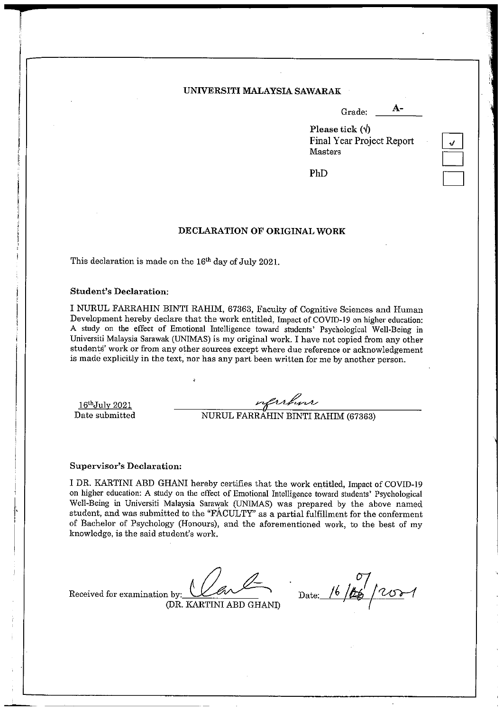#### UNIVERSITI MALAYSIA SAWARAK

 $A-$ Grade:

Please tick  $(\forall)$ **Final Year Project Report** Masters

PhD

#### DECLARATION OF ORIGINAL WORK

This declaration is made on the 16<sup>th</sup> day of July 2021.

#### **Student's Declaration:**

I NURUL FARRAHIN BINTI RAHIM, 67363, Faculty of Cognitive Sciences and Human Development hereby declare that the work entitled, Impact of COVID-19 on higher education: A study on the effect of Emotional Intelligence toward students' Psychological Well-Being in Universiti Malaysia Sarawak (UNIMAS) is my original work. I have not copied from any other students' work or from any other sources except where due reference or acknowledgement is made explicitly in the text, nor has any part been written for me by another person.

 $16<sup>th</sup>$ July 2021 Date submitted

MURUL FARRAHIN BINTI RAHIM (67363)

#### **Supervisor's Declaration:**

I DR. KARTINI ABD GHANI hereby certifies that the work entitled, Impact of COVID-19 on higher education: A study on the effect of Emotional Intelligence toward students' Psychological Well-Being in Universiti Malaysia Sarawak (UNIMAS) was prepared by the above named student, and was submitted to the "FACULTY" as a partial fulfillment for the conferment of Bachelor of Psychology (Honours), and the aforementioned work, to the best of my knowledge, is the said student's work.

Received for examination by: (DR. KARTINI ABD GHANI)

Date: 16/06/2001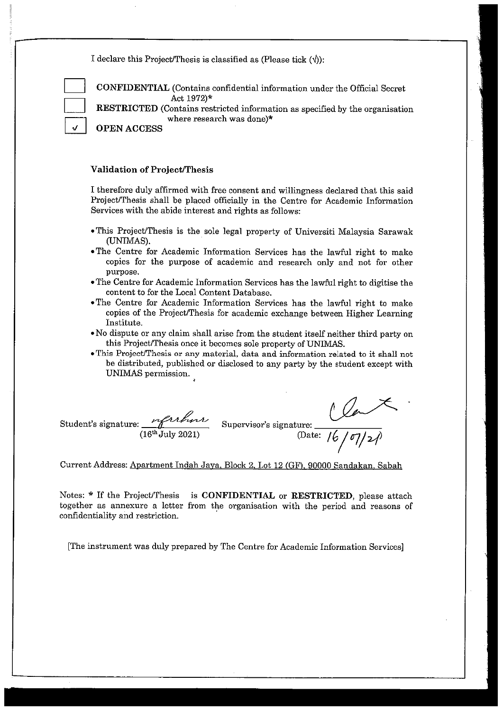I declare this Project/Thesis is classified as (Please tick  $(\hat{y})$ ):

CONFIDENTIAL (Contains confidential information under the Official Secret Act 1972)\*

RESTRICTED (Contains restricted information as specified by the organisation where research was done)\*

**OPEN ACCESS** 

#### **Validation of Project/Thesis**

I therefore duly affirmed with free consent and willingness declared that this said Project/Thesis shall be placed officially in the Centre for Academic Information Services with the abide interest and rights as follows:

- · This Project/Thesis is the sole legal property of Universiti Malaysia Sarawak (UNIMAS).
- The Centre for Academic Information Services has the lawful right to make copies for the purpose of academic and research only and not for other purpose.
- . The Centre for Academic Information Services has the lawful right to digitise the content to for the Local Content Database.
- . The Centre for Academic Information Services has the lawful right to make copies of the Project/Thesis for academic exchange between Higher Learning Institute.
- . No dispute or any claim shall arise from the student itself neither third party on this Project/Thesis once it becomes sole property of UNIMAS.
- . This Project/Thesis or any material, data and information related to it shall not be distributed, published or disclosed to any party by the student except with UNIMAS permission.

 $\frac{1}{16}$ /07/21  $\frac{\mu_1\mu_2\mu_3}{(16^{th} \text{ July } 2021)}$  Supervisor's signature: Student's signature: (Date:

Current Address: Apartment Indah Jaya, Block 2, Lot 12 (GF), 90000 Sandakan, Sabah

Notes: \* If the Project/Thesis is CONFIDENTIAL or RESTRICTED, please attach together as annexure a letter from the organisation with the period and reasons of confidentiality and restriction.

[The instrument was duly prepared by The Centre for Academic Information Services]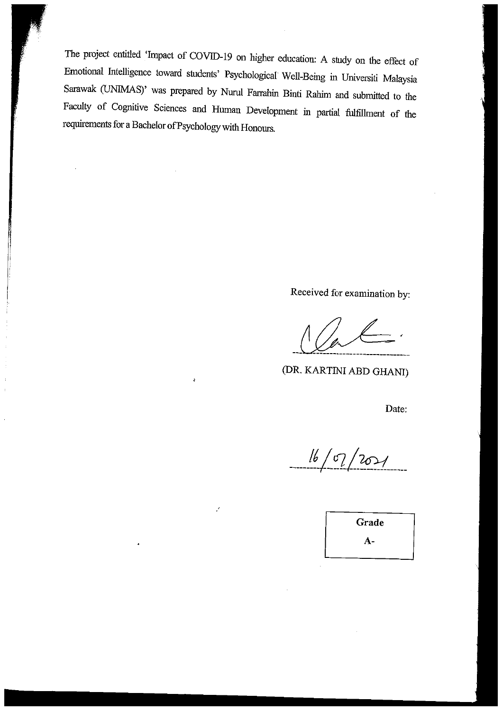The project entitled 'Impact of COVID-19 on higher education: A study on the effect of Emotional Intelligence toward students' Psychological Well-Being in Universiti Malaysia Sarawak (UNIMAS)' was prepared by Nurul Farrahin Binti Rahim and submitted to the Faculty of Cognitive Sciences and Human Development in partial fulfillment of the requirements for a Bachelor of Psychology with Honours.

 $\mathbf{r}$ 

Z

Received for examination by:

(DR. KARTINI ABD GHANI)

Date:

 $16/07/207/$ 

Grade  $A-$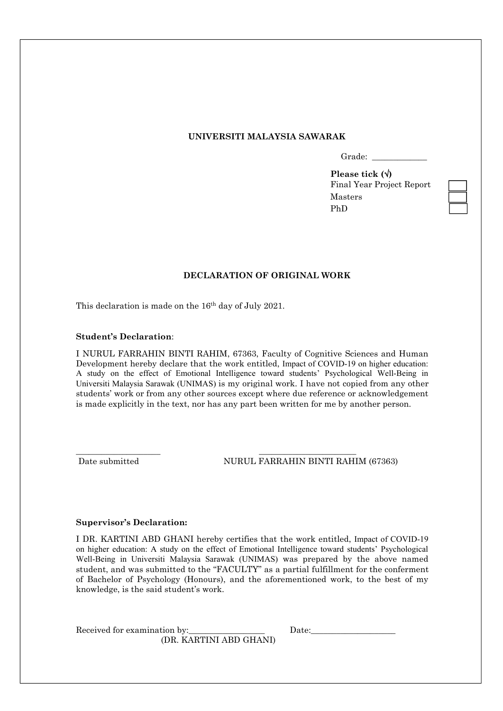#### **UNIVERSITI MALAYSIA SAWARAK**

Grade:

**Please tick ()** Final Year Project Report Masters PhD

### **DECLARATION OF ORIGINAL WORK**

This declaration is made on the 16<sup>th</sup> day of July 2021.

#### **Student's Declaration**:

I NURUL FARRAHIN BINTI RAHIM, 67363, Faculty of Cognitive Sciences and Human Development hereby declare that the work entitled, Impact of COVID-19 on higher education: A study on the effect of Emotional Intelligence toward students' Psychological Well-Being in Universiti Malaysia Sarawak (UNIMAS) is my original work. I have not copied from any other students' work or from any other sources except where due reference or acknowledgement is made explicitly in the text, nor has any part been written for me by another person.

\_\_\_\_\_\_\_\_\_\_\_\_\_\_\_\_\_\_\_\_ \_\_\_\_\_\_\_\_\_\_\_\_\_\_\_\_\_\_\_\_\_\_\_

Date submitted NURUL FARRAHIN BINTI RAHIM (67363)

#### **Supervisor's Declaration:**

I DR. KARTINI ABD GHANI hereby certifies that the work entitled, Impact of COVID-19 on higher education: A study on the effect of Emotional Intelligence toward students' Psychological Well-Being in Universiti Malaysia Sarawak (UNIMAS) was prepared by the above named student, and was submitted to the "FACULTY" as a partial fulfillment for the conferment of Bachelor of Psychology (Honours), and the aforementioned work, to the best of my knowledge, is the said student's work.

Received for examination by: Date: (DR. KARTINI ABD GHANI)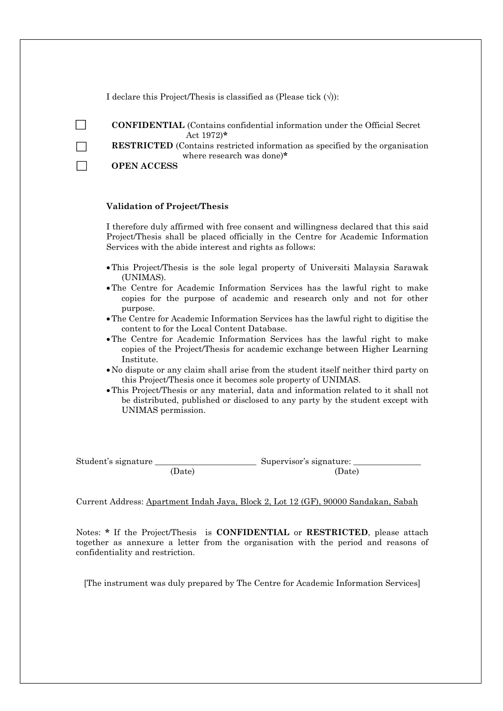I declare this Project/Thesis is classified as (Please tick  $(\forall)$ ):

| <b>CONFIDENTIAL</b> (Contains confidential information under the Official Secret |  |
|----------------------------------------------------------------------------------|--|
| Act $1972$ <sup>*</sup>                                                          |  |

**RESTRICTED** (Contains restricted information as specified by the organisation where research was done)**\***

**OPEN ACCESS** √

 $\Box$ 

 $\Box$ 

#### **Validation of Project/Thesis**

I therefore duly affirmed with free consent and willingness declared that this said Project/Thesis shall be placed officially in the Centre for Academic Information Services with the abide interest and rights as follows:

- This Project/Thesis is the sole legal property of Universiti Malaysia Sarawak (UNIMAS).
- The Centre for Academic Information Services has the lawful right to make copies for the purpose of academic and research only and not for other purpose.
- The Centre for Academic Information Services has the lawful right to digitise the content to for the Local Content Database.
- The Centre for Academic Information Services has the lawful right to make copies of the Project/Thesis for academic exchange between Higher Learning Institute.
- No dispute or any claim shall arise from the student itself neither third party on this Project/Thesis once it becomes sole property of UNIMAS.
- This Project/Thesis or any material, data and information related to it shall not be distributed, published or disclosed to any party by the student except with UNIMAS permission.

Student's signature \_\_\_\_\_\_\_\_\_\_\_\_\_\_\_\_\_\_\_\_\_\_\_\_ Supervisor's signature: \_\_\_\_\_\_\_\_\_\_\_\_\_\_\_\_

(Date) (Date)

Current Address: Apartment Indah Jaya, Block 2, Lot 12 (GF), 90000 Sandakan, Sabah

Notes: **\*** If the Project/Thesis is **CONFIDENTIAL** or **RESTRICTED**, please attach together as annexure a letter from the organisation with the period and reasons of confidentiality and restriction.

[The instrument was duly prepared by The Centre for Academic Information Services]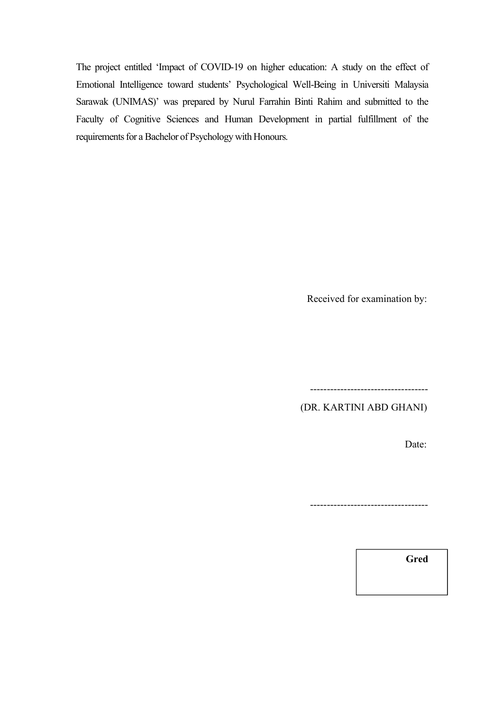The project entitled 'Impact of COVID-19 on higher education: A study on the effect of Emotional Intelligence toward students' Psychological Well-Being in Universiti Malaysia Sarawak (UNIMAS)' was prepared by Nurul Farrahin Binti Rahim and submitted to the Faculty of Cognitive Sciences and Human Development in partial fulfillment of the requirements for a Bachelor of Psychology with Honours.

Received for examination by:

----------------------------------- (DR. KARTINI ABD GHANI)

Date:

-----------------------------------

**Gred**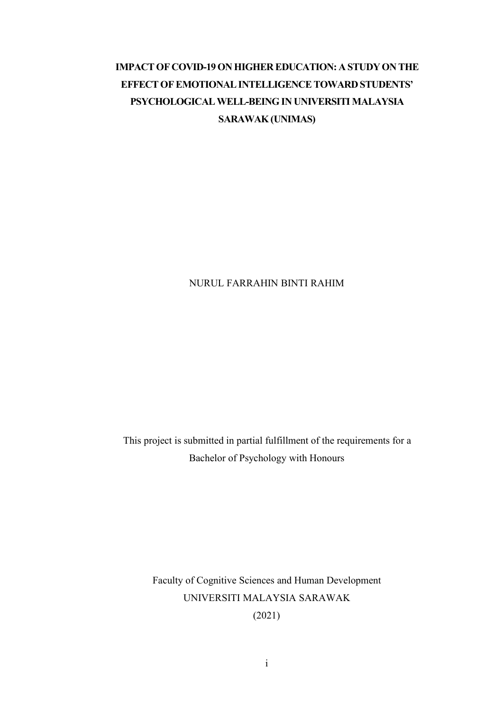# **IMPACTOF COVID-19ON HIGHER EDUCATION: A STUDYON THE EFFECTOFEMOTIONALINTELLIGENCETOWARD STUDENTS' PSYCHOLOGICALWELL-BEINGIN UNIVERSITI MALAYSIA SARAWAK(UNIMAS)**

# NURUL FARRAHIN BINTI RAHIM

This project is submitted in partial fulfillment of the requirements for a Bachelor of Psychology with Honours

> Faculty of Cognitive Sciences and Human Development UNIVERSITI MALAYSIA SARAWAK (2021)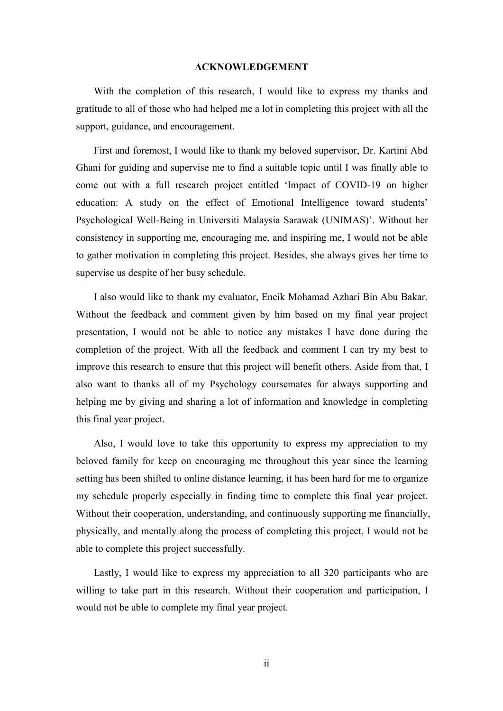#### **ACKNOWLEDGEMENT**

With the completion of this research, I would like to express my thanks and gratitude to all of those who had helped me a lot in completing this project with all the support, guidance, and encouragement.

First and foremost, I would like to thank my beloved supervisor, Dr. Kartini Abd Ghani for guiding and supervise me to find a suitable topic until I was finally able to come out with a full research project entitled 'Impact of COVID-19 on higher education: A study on the effect of Emotional Intelligence toward students' Psychological Well-Being in Universiti Malaysia Sarawak (UNIMAS)'. Without her consistency in supporting me, encouraging me, and inspiring me, I would not be able to gather motivation in completing this project. Besides, she always gives her time to supervise us despite of her busy schedule.

I also would like to thank my evaluator, Encik Mohamad Azhari Bin Abu Bakar. Without the feedback and comment given by him based on my final year project presentation, I would not be able to notice any mistakes I have done during the completion of the project. With all the feedback and comment I can try my best to improve this research to ensure that this project will benefit others. Aside from that, I also want to thanks all of my Psychology coursemates for always supporting and helping me by giving and sharing a lot of information and knowledge in completing this final year project.

Also, I would love to take this opportunity to express my appreciation to my beloved family for keep on encouraging me throughout this year since the learning setting has been shifted to online distance learning, it has been hard for me to organize my schedule properly especially in finding time to complete this final year project. Without their cooperation, understanding, and continuously supporting me financially, physically, and mentally along the process of completing this project, I would not be able to complete this project successfully.

Lastly, I would like to express my appreciation to all 320 participants who are willing to take part in this research. Without their cooperation and participation, I would not be able to complete my final year project.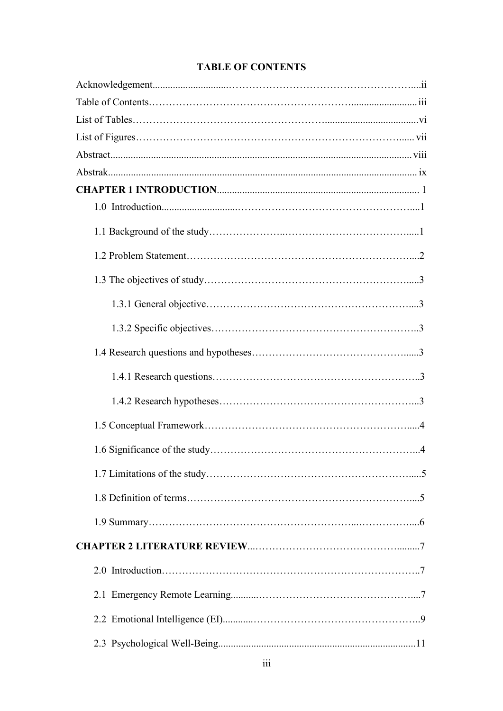# **TABLE OF CONTENTS**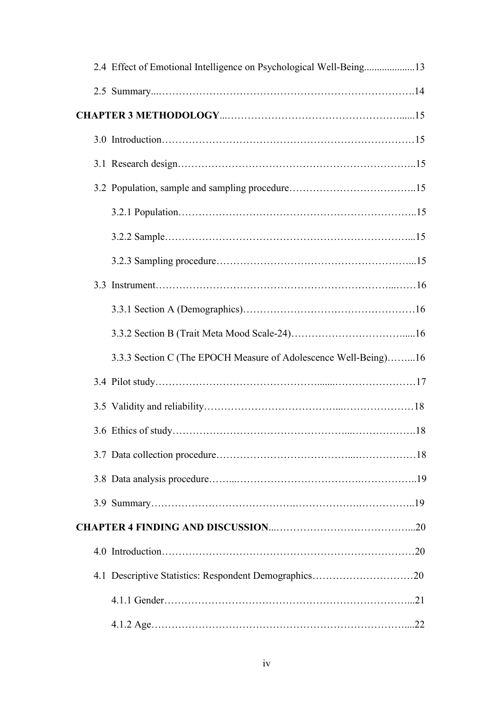|  | 2.4 Effect of Emotional Intelligence on Psychological Well-Being13 |
|--|--------------------------------------------------------------------|
|  |                                                                    |
|  |                                                                    |
|  |                                                                    |
|  |                                                                    |
|  |                                                                    |
|  |                                                                    |
|  |                                                                    |
|  |                                                                    |
|  |                                                                    |
|  |                                                                    |
|  |                                                                    |
|  | 3.3.3 Section C (The EPOCH Measure of Adolescence Well-Being)16    |
|  |                                                                    |
|  |                                                                    |
|  |                                                                    |
|  |                                                                    |
|  |                                                                    |
|  |                                                                    |
|  |                                                                    |
|  |                                                                    |
|  |                                                                    |
|  |                                                                    |
|  |                                                                    |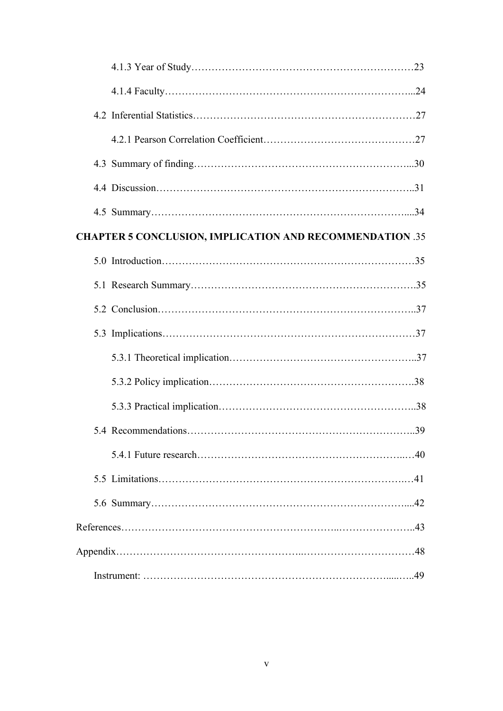| <b>CHAPTER 5 CONCLUSION, IMPLICATION AND RECOMMENDATION .35</b> |  |
|-----------------------------------------------------------------|--|
|                                                                 |  |
|                                                                 |  |
|                                                                 |  |
|                                                                 |  |
|                                                                 |  |
|                                                                 |  |
|                                                                 |  |
|                                                                 |  |
|                                                                 |  |
|                                                                 |  |
|                                                                 |  |
|                                                                 |  |
|                                                                 |  |
|                                                                 |  |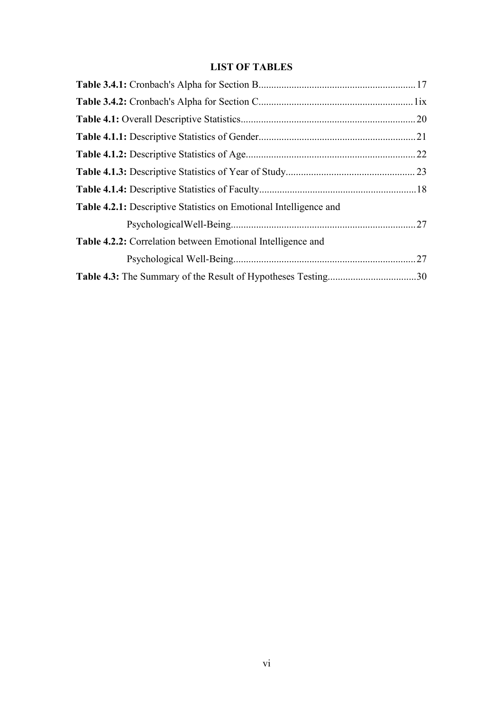# <span id="page-12-0"></span>**LIST OF TABLES**

| Table 4.2.1: Descriptive Statistics on Emotional Intelligence and |  |
|-------------------------------------------------------------------|--|
|                                                                   |  |
| Table 4.2.2: Correlation between Emotional Intelligence and       |  |
|                                                                   |  |
|                                                                   |  |
|                                                                   |  |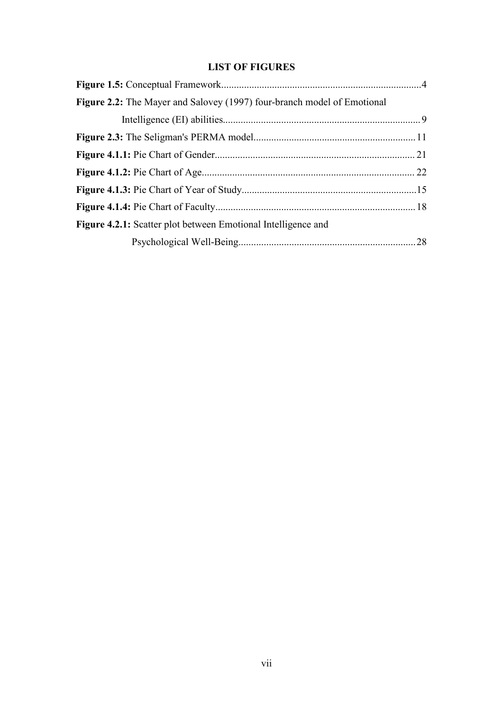# **LIST OF FIGURES**

| Figure 2.2: The Mayer and Salovey (1997) four-branch model of Emotional |  |
|-------------------------------------------------------------------------|--|
|                                                                         |  |
|                                                                         |  |
|                                                                         |  |
|                                                                         |  |
|                                                                         |  |
|                                                                         |  |
| <b>Figure 4.2.1:</b> Scatter plot between Emotional Intelligence and    |  |
|                                                                         |  |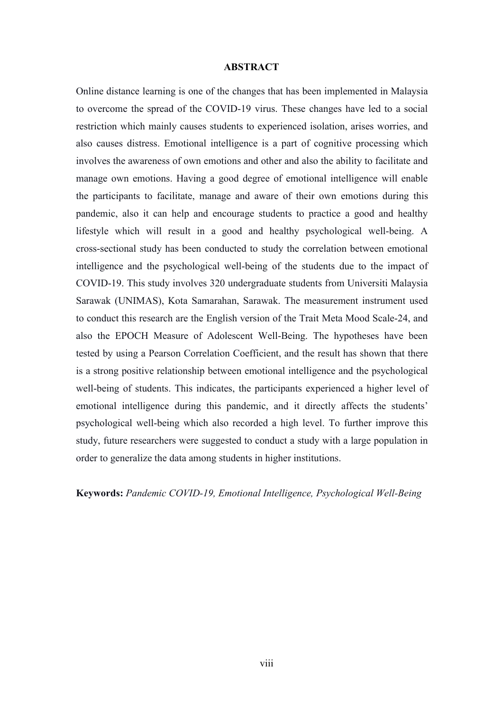#### <span id="page-14-0"></span>**ABSTRACT**

Online distance learning is one of the changes that has been implemented in Malaysia to overcome the spread of the COVID-19 virus. These changes have led to a social restriction which mainly causes students to experienced isolation, arises worries, and also causes distress. Emotional intelligence is a part of cognitive processing which involves the awareness of own emotions and other and also the ability to facilitate and manage own emotions. Having a good degree of emotional intelligence will enable the participants to facilitate, manage and aware of their own emotions during this pandemic, also it can help and encourage students to practice a good and healthy lifestyle which will result in a good and healthy psychological well-being. A cross-sectional study has been conducted to study the correlation between emotional intelligence and the psychological well-being of the students due to the impact of COVID-19. This study involves 320 undergraduate students from Universiti Malaysia Sarawak (UNIMAS), Kota Samarahan, Sarawak. The measurement instrument used to conduct this research are the English version of the Trait Meta Mood Scale-24, and also the EPOCH Measure of Adolescent Well-Being. The hypotheses have been tested by using a Pearson Correlation Coefficient, and the result has shown that there is a strong positive relationship between emotional intelligence and the psychological well-being of students. This indicates, the participants experienced a higher level of emotional intelligence during this pandemic, and it directly affects the students' psychological well-being which also recorded a high level. To further improve this study, future researchers were suggested to conduct a study with a large population in order to generalize the data among students in higher institutions.

**Keywords:** *Pandemic COVID-19, Emotional Intelligence, Psychological Well-Being*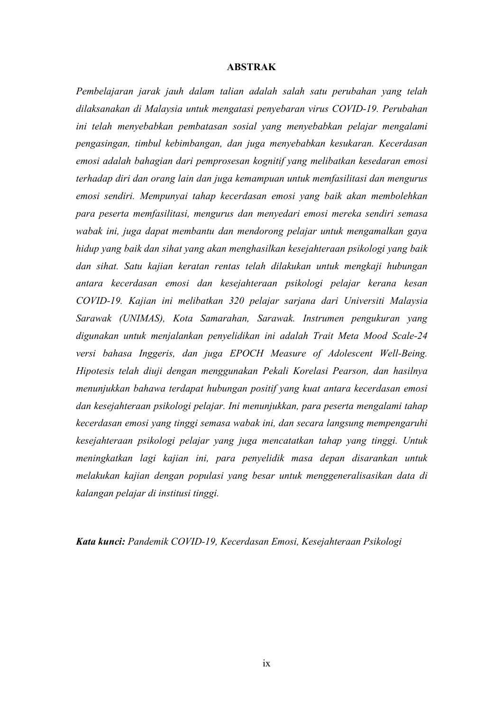#### <span id="page-15-0"></span>**ABSTRAK**

*Pembelajaran jarak jauh dalam talian adalah salah satu perubahan yang telah dilaksanakan di Malaysia untuk mengatasi penyebaran virus COVID-19. Perubahan ini telah menyebabkan pembatasan sosial yang menyebabkan pelajar mengalami pengasingan, timbul kebimbangan, dan juga menyebabkan kesukaran. Kecerdasan emosi adalah bahagian dari pemprosesan kognitif yang melibatkan kesedaran emosi terhadap diri dan orang lain dan juga kemampuan untuk memfasilitasi dan mengurus emosi sendiri. Mempunyai tahap kecerdasan emosi yang baik akan membolehkan para peserta memfasilitasi, mengurus dan menyedari emosi mereka sendiri semasa wabak ini, juga dapat membantu dan mendorong pelajar untuk mengamalkan gaya hidup yang baik dan sihat yang akan menghasilkan kesejahteraan psikologi yang baik dan sihat. Satu kajian keratan rentas telah dilakukan untuk mengkaji hubungan antara kecerdasan emosi dan kesejahteraan psikologi pelajar kerana kesan COVID-19. Kajian ini melibatkan 320 pelajar sarjana dari Universiti Malaysia Sarawak (UNIMAS), Kota Samarahan, Sarawak. Instrumen pengukuran yang digunakan untuk menjalankan penyelidikan ini adalah Trait Meta Mood Scale-24 versi bahasa Inggeris, dan juga EPOCH Measure of Adolescent Well-Being. Hipotesis telah diuji dengan menggunakan Pekali Korelasi Pearson, dan hasilnya menunjukkan bahawa terdapat hubungan positif yang kuat antara kecerdasan emosi dan kesejahteraan psikologi pelajar. Ini menunjukkan, para peserta mengalami tahap kecerdasan emosi yang tinggi semasa wabak ini, dan secara langsung mempengaruhi kesejahteraan psikologi pelajar yang juga mencatatkan tahap yang tinggi. Untuk meningkatkan lagi kajian ini, para penyelidik masa depan disarankan untuk melakukan kajian dengan populasi yang besar untuk menggeneralisasikan data di kalangan pelajar di institusi tinggi.*

*Kata kunci: Pandemik COVID-19, Kecerdasan Emosi, Kesejahteraan Psikologi*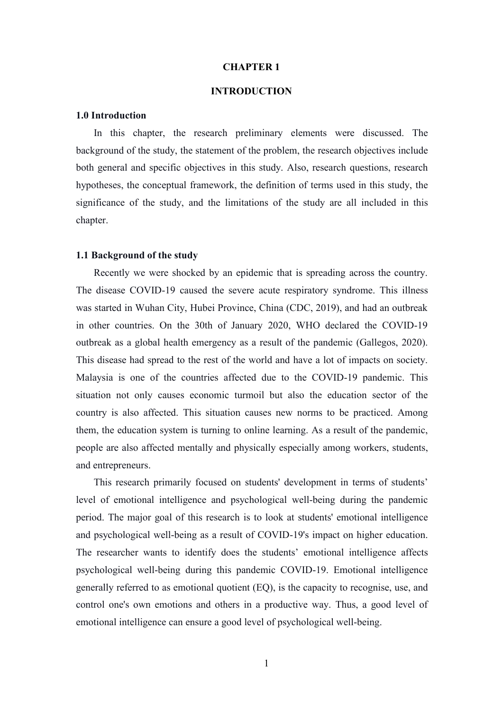#### **CHAPTER 1**

### **INTRODUCTION**

#### **1.0 Introduction**

In this chapter, the research preliminary elements were discussed. The background of the study, the statement of the problem, the research objectives include both general and specific objectives in this study. Also, research questions, research hypotheses, the conceptual framework, the definition of terms used in this study, the significance of the study, and the limitations of the study are all included in this chapter.

#### **1.1 Background of the study**

Recently we were shocked by an epidemic that is spreading across the country. The disease COVID-19 caused the severe acute respiratory syndrome. This illness was started in Wuhan City, Hubei Province, China (CDC, 2019), and had an outbreak in other countries. On the 30th of January 2020, WHO declared the COVID-19 outbreak as a global health emergency as a result of the pandemic (Gallegos, 2020). This disease had spread to the rest of the world and have a lot of impacts on society. Malaysia is one of the countries affected due to the COVID-19 pandemic. This situation not only causes economic turmoil but also the education sector of the country is also affected. This situation causes new norms to be practiced. Among them, the education system is turning toonline learning. As a result of the pandemic, people are also affected mentally and physically especially among workers, students, and entrepreneurs.

This research primarily focused on students' development in terms of students' level of emotional intelligence and psychological well-being during the pandemic period. The major goal of this research is to look at students' emotional intelligence and psychological well-being as a result of COVID-19's impact on higher education. The researcher wants to identify does the students' emotional intelligence affects psychological well-being during this pandemic COVID-19. Emotional intelligence generally referred to as emotional quotient (EQ), is the capacity to recognise, use, and control one's own emotions and others in a productive way. Thus, a good level of emotional intelligence can ensure a good level of psychological well-being.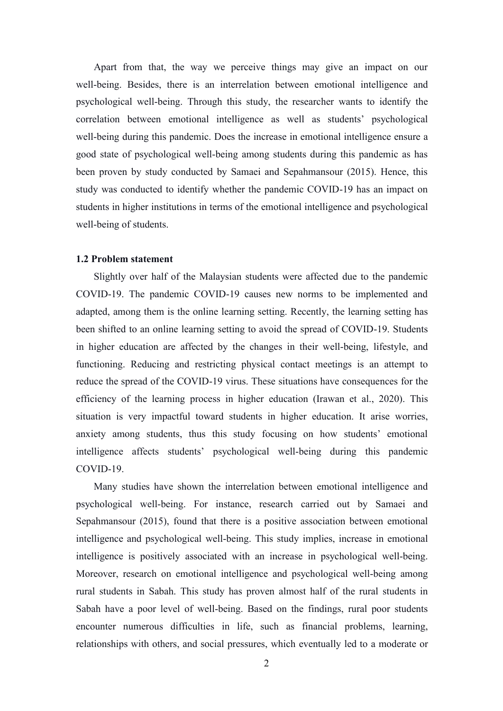Apart from that, the way we perceive things may give an impact on our well-being. Besides, there is an interrelation between emotional intelligence and psychological well-being. Through this study, the researcher wants to identify the correlation between emotional intelligence as well as students' psychological well-being during this pandemic. Does the increase in emotional intelligence ensure a good state of psychological well-being among students during this pandemic as has been proven by study conducted by Samaei and Sepahmansour (2015). Hence, this study was conducted to identify whether the pandemic COVID-19 has an impact on students in higher institutions in terms of the emotional intelligence and psychological well-being of students.

#### **1.2 Problem statement**

Slightly over half of the Malaysian students were affected due to the pandemic COVID-19. The pandemic COVID-19 causes new norms to be implemented and adapted, among them is the online learning setting. Recently, the learning setting has been shifted to an online learning setting to avoid the spread of COVID-19. Students in higher education are affected by the changes in their well-being, lifestyle, and functioning. Reducing and restricting physical contact meetings is an attempt to reduce the spread of the COVID-19 virus. These situations have consequences for the efficiency of the learning process in higher education (Irawan et al., 2020). This situation is very impactful toward students in higher education. It arise worries, anxiety among students, thus this study focusing on how students' emotional intelligence affects students' psychological well-being during this pandemic COVID-19.

Many studies have shown the interrelation between emotional intelligence and psychological well-being. For instance, research carried out by Samaei and Sepahmansour (2015), found that there is a positive association between emotional intelligence and psychological well-being. This study implies, increase in emotional intelligence is positively associated with an increase in psychological well-being. Moreover, research on emotional intelligence and psychological well-being among rural students in Sabah. This study has proven almost half of the rural students in Sabah have a poor level of well-being. Based on the findings, rural poor students encounter numerous difficulties in life, such as financial problems, learning, relationships with others, and social pressures, which eventually led to a moderate or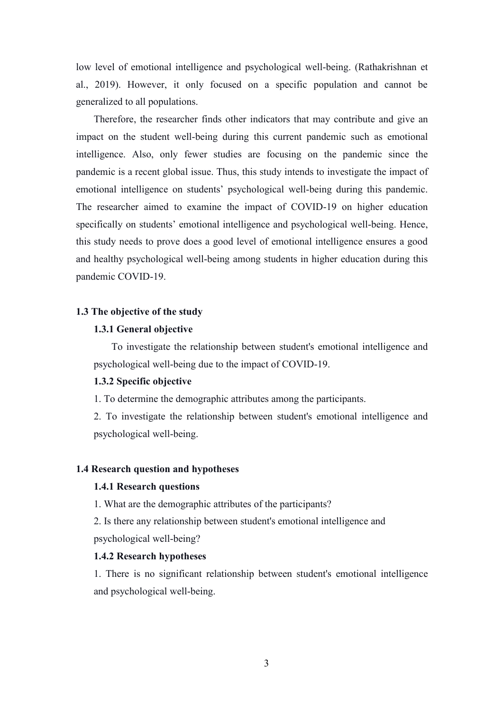low level of emotional intelligence and psychological well-being. (Rathakrishnan et al., 2019). However, it only focused on aspecific population and cannot be generalized to all populations.

Therefore, the researcher finds other indicators that may contribute and give an impact on the student well-being during this current pandemic such as emotional intelligence. Also, only fewer studies are focusing on the pandemic since the pandemic is a recent global issue. Thus, this study intends to investigate the impact of emotional intelligence on students' psychological well-being during this pandemic. The researcher aimed to examine the impact of COVID-19 on higher education specifically on students' emotional intelligence and psychological well-being. Hence, this study needs to prove does a good level of emotional intelligence ensures a good and healthy psychological well-being among students in higher education during this pandemic COVID-19.

#### **1.3 The objective of the study**

### **1.3.1 General objective**

To investigate the relationship between student's emotional intelligence and psychological well-being due to the impact of COVID-19.

#### **1.3.2 Specific objective**

1. To determine the demographic attributes among the participants.

2. To investigate the relationship between student's emotional intelligence and psychological well-being.

#### **1.4 Research question and hypotheses**

## **1.4.1 Research questions**

1. What are the demographic attributes of the participants?

2. Is there any relationship between student's emotional intelligence and

psychological well-being?

## **1.4.2 Research hypotheses**

1. There is no significant relationship between student's emotional intelligence and psychological well-being.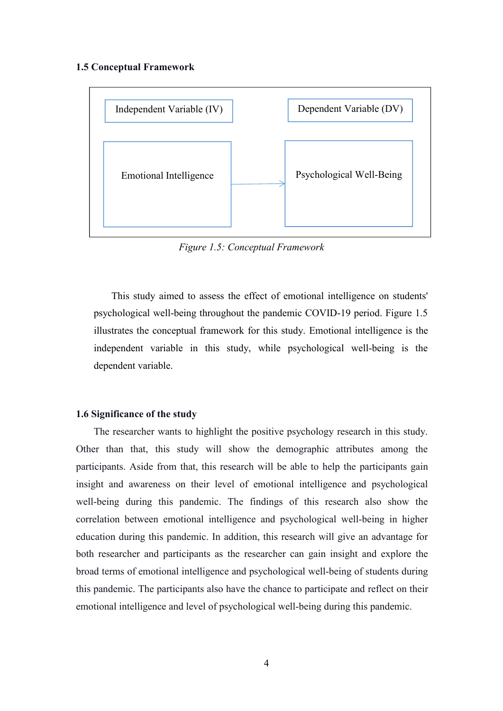#### **1.5 Conceptual Framework**



*Figure 1.5: Conceptual Framework*

This study aimed to assess the effect of emotional intelligence on students' psychological well-being throughout the pandemic COVID-19 period. Figure 1.5 illustrates the conceptual framework for this study. Emotional intelligence is the independent variable in this study, while psychological well-being is the dependent variable.

## **1.6 Significance of the study**

The researcher wants to highlight the positive psychology research in this study. Other than that, this study will show the demographic attributes among the participants. Aside from that, this research will be able to help the participants gain insight and awareness on their level of emotional intelligence and psychological well-being during this pandemic. The findings of this research also show the correlation between emotional intelligence and psychological well-being in higher education during this pandemic. In addition, this research will give an advantage for both researcher and participants as the researcher can gain insight and explore the broad terms of emotional intelligence and psychological well-being of students during this pandemic. The participants also have the chance to participate and reflect on their emotional intelligence and level of psychological well-being during this pandemic.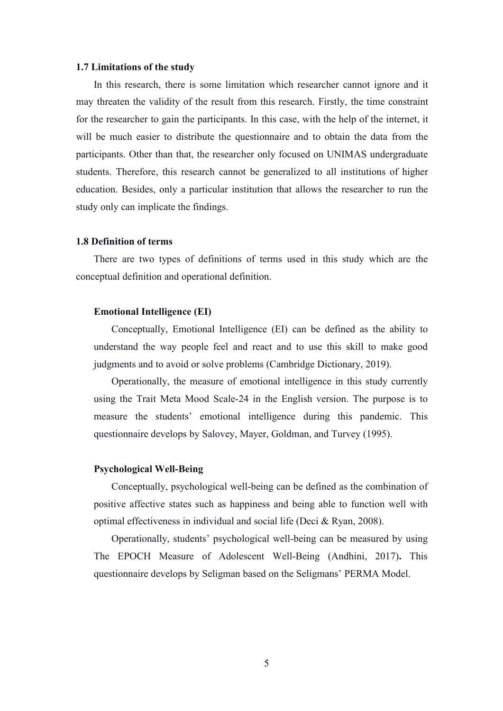#### **1.7 Limitations of the study**

In this research, there is some limitation which researcher cannot ignore and it may threaten the validity of the result from this research. Firstly, the time constraint for the researcher to gain the participants. In this case, with the help of the internet, it will be much easier to distribute the questionnaire and to obtain the data from the participants. Other than that, the researcher only focused on UNIMAS undergraduate students. Therefore, this research cannot be generalized to all institutions of higher education. Besides, only a particular institution that allows the researcher to run the study only can implicate the findings.

#### **1.8 Definition of terms**

There are two types of definitions of terms used in this study which are the conceptual definition and operational definition.

#### **Emotional Intelligence (EI)**

Conceptually, Emotional Intelligence (EI) can be defined as the ability to understand the way people feel and react and to use this skill to make good judgments and to avoid or solve problems (Cambridge Dictionary, 2019).

Operationally, the measure of emotional intelligence in this study currently using the Trait Meta Mood Scale-24 in the English version. The purpose is to measure the students' emotional intelligence during this pandemic. This questionnaire develops by Salovey, Mayer, Goldman, and Turvey (1995).

#### **Psychological Well-Being**

Conceptually, psychological well-being can be defined as the combination of positive affective states such as happiness and being able to function well with optimal effectiveness in individual and social life (Deci & Ryan, 2008).

Operationally, students' psychological well-being can be measured by using The EPOCH Measure of Adolescent Well-Being (Andhini, 2017)**.** This questionnaire develops by Seligman based on the Seligmans' PERMA Model.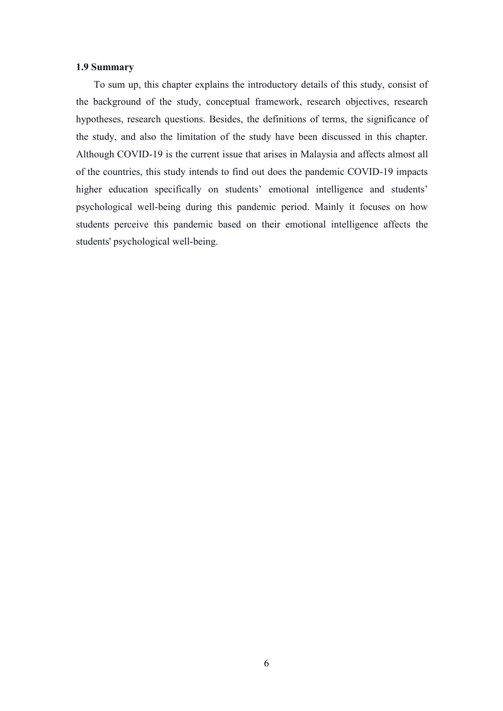#### **1.9 Summary**

To sum up, this chapter explains the introductory details of this study, consist of the background of the study, conceptual framework, research objectives, research hypotheses, research questions. Besides, the definitions of terms, the significance of the study, and also the limitation of the study have been discussed in this chapter. Although COVID-19 is the current issue that arises in Malaysia and affects almost all of the countries, this study intends to find out does the pandemic COVID-19 impacts higher education specifically on students' emotional intelligence and students' psychological well-being during this pandemic period. Mainly it focuses on how students perceive this pandemic based on their emotional intelligence affects the students' psychological well-being.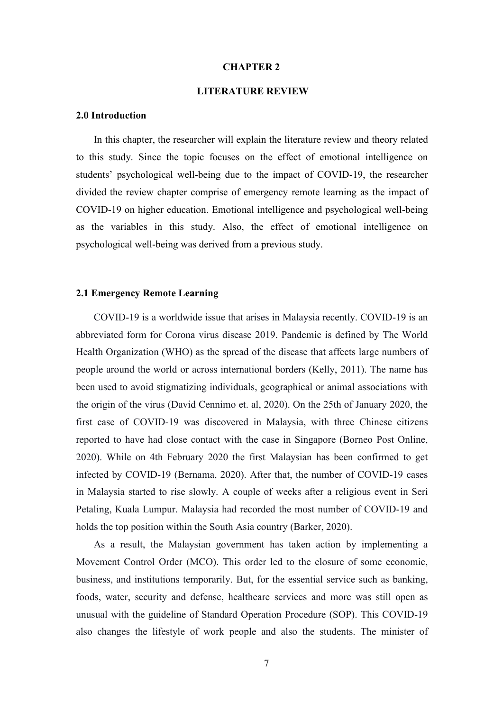#### **CHAPTER 2**

## **LITERATURE REVIEW**

#### **2.0 Introduction**

In this chapter, the researcher will explain the literature review and theory related to this study. Since the topic focuses on the effect of emotional intelligence on students' psychological well-being due to the impact of COVID-19, the researcher divided the review chapter comprise of emergency remote learning as the impact of COVID-19 on higher education. Emotional intelligence and psychological well-being as the variables in this study. Also, the effect of emotional intelligence on psychological well-being was derived from a previous study.

#### **2.1 Emergency Remote Learning**

COVID-19 is a worldwide issue that arises in Malaysia recently.COVID-19 is an abbreviated form for Corona virus disease 2019. Pandemic is defined by The World Health Organization (WHO) as the spread of the disease that affects large numbers of people around the world or across international borders (Kelly, 2011). The name has been used to avoid stigmatizing individuals, geographical or animal associations with the origin of the virus (David Cennimo et. al, 2020). On the 25th of January 2020, the first case of COVID-19 was discovered in Malaysia, with three Chinese citizens reported to have had close contact with the case in Singapore (Borneo Post Online, 2020). While on 4th February 2020 the first Malaysian has been confirmed to get infected by COVID-19 (Bernama, 2020). After that, the number of COVID-19 cases in Malaysia started to rise slowly. A couple of weeks after a religious event in Seri Petaling, Kuala Lumpur. Malaysia had recorded the most number of COVID-19 and holds the top position within the South Asia country (Barker, 2020).

As a result, the Malaysian government has taken action by implementing a Movement Control Order (MCO). This order led to the closure of some economic, business, and institutions temporarily. But, for the essential service such as banking, foods, water, security and defense, healthcare services and more was still open as unusual with the guideline of Standard Operation Procedure (SOP). This COVID-19 also changes the lifestyle of work people and also the students. The minister of